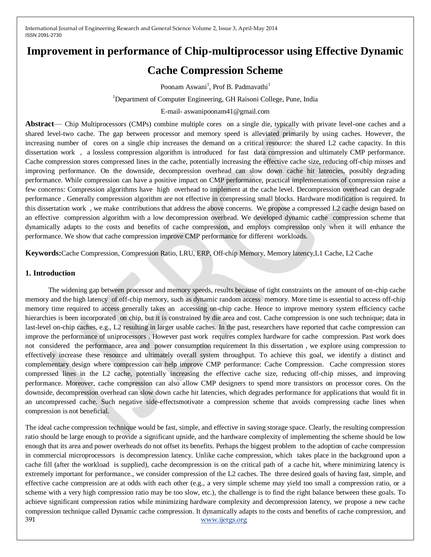# **Improvement in performance of Chip-multiprocessor using Effective Dynamic**

# **Cache Compression Scheme**

Poonam Aswani<sup>1</sup>, Prof B. Padmavathi<sup>1</sup>

<sup>1</sup>Department of Computer Engineering, GH Raisoni College, Pune, India

E-mail- aswanipoonam41@gmail.com

**Abstract**— Chip Multiprocessors (CMPs) combine multiple cores on a single die, typically with private level-one caches and a shared level-two cache. The gap between processor and memory speed is alleviated primarily by using caches. However, the increasing number of cores on a single chip increases the demand on a critical resource: the shared L2 cache capacity. In this dissertation work , a lossless compression algorithm is introduced for fast data compression and ultimately CMP performance. Cache compression stores compressed lines in the cache, potentially increasing the effective cache size, reducing off-chip misses and improving performance. On the downside, decompression overhead can slow down cache hit latencies, possibly degrading performance. While compression can have a positive impact on CMP performance, practical implementations of compression raise a few concerns: Compression algorithms have high overhead to implement at the cache level. Decompression overhead can degrade performance . Generally compression algorithm are not effective in compressing small blocks. Hardware modification is required. In this dissertation work , we make contributions that address the above concerns. We propose a compressed L2 cache design based on an effective compression algorithm with a low decompression overhead. We developed dynamic cache compression scheme that dynamically adapts to the costs and benefits of cache compression, and employs compression only when it will enhance the performance. We show that cache compression improve CMP performance for different workloads.

**Keywords:**Cache Compression, Compression Ratio, LRU, ERP, Off-chip Memory, Memory latency,L1 Cache, L2 Cache

#### **1. Introduction**

 The widening gap between processor and memory speeds, results because of tight constraints on the amount of on-chip cache memory and the high latency of off-chip memory, such as dynamic random access memory. More time is essential to access off-chip memory time required to access generally takes an accessing on-chip cache. Hence to improve memory system efficiency cache hierarchies is been incorporated on chip, but it is constrained by die area and cost. Cache compression is one such technique; data in last-level on-chip caches, e.g., L2 resulting in larger usable caches. In the past, researchers have reported that cache compression can improve the performance of uniprocessors . However past work requires complex hardware for cache compression. Past work does not considered the performance, area and power consumption requirement In this dissertation , we explore using compression to effectively increase these resource and ultimately overall system throughput. To achieve this goal, we identify a distinct and complementary design where compression can help improve CMP performance: Cache Compression. Cache compression stores compressed lines in the L2 cache, potentially increasing the effective cache size, reducing off-chip misses, and improving performance. Moreover, cache compression can also allow CMP designers to spend more transistors on processor cores. On the downside, decompression overhead can slow down cache hit latencies, which degrades performance for applications that would fit in an uncompressed cache. Such negative side-effectsmotivate a compression scheme that avoids compressing cache lines when compression is not beneficial.

391 [www.ijergs.org](http://www.ijergs.org/) The ideal cache compression technique would be fast, simple, and effective in saving storage space. Clearly, the resulting compression ratio should be large enough to provide a significant upside, and the hardware complexity of implementing the scheme should be low enough that its area and power overheads do not offset its benefits. Perhaps the biggest problem to the adoption of cache compression in commercial microprocessors is decompression latency. Unlike cache compression, which takes place in the background upon a cache fill (after the workload is supplied), cache decompression is on the critical path of a cache hit, where minimizing latency is extremely important for performance., we consider compression of the L2 caches. The three desired goals of having fast, simple, and effective cache compression are at odds with each other (e.g., a very simple scheme may yield too small a compression ratio, or a scheme with a very high compression ratio may be too slow, etc.), the challenge is to find the right balance between these goals. To achieve significant compression ratios while minimizing hardware complexity and decompression latency, we propose a new cache compression technique called Dynamic cache compression. It dynamically adapts to the costs and benefits of cache compression, and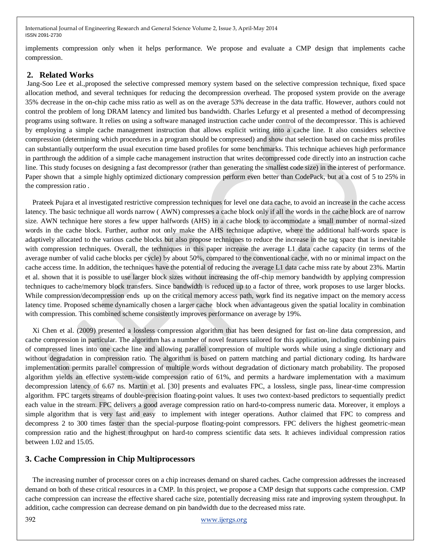implements compression only when it helps performance. We propose and evaluate a CMP design that implements cache compression.

#### **2. Related Works**

Jang-Soo Lee et al.,proposed the selective compressed memory system based on the selective compression technique, fixed space allocation method, and several techniques for reducing the decompression overhead. The proposed system provide on the average 35% decrease in the on-chip cache miss ratio as well as on the average 53% decrease in the data traffic. However, authors could not control the problem of long DRAM latency and limited bus bandwidth. Charles Lefurgy et al presented a method of decompressing programs using software. It relies on using a software managed instruction cache under control of the decompressor. This is achieved by employing a simple cache management instruction that allows explicit writing into a cache line. It also considers selective compression (determining which procedures in a program should be compressed) and show that selection based on cache miss profiles can substantially outperform the usual execution time based profiles for some benchmarks. This technique achieves high performance in partthrough the addition of a simple cache management instruction that writes decompressed code directly into an instruction cache line. This study focuses on designing a fast decompressor (rather than generating the smallest code size) in the interest of performance. Paper shown that a simple highly optimized dictionary compression perform even better than CodePack, but at a cost of 5 to 25% in the compression ratio .

Prateek Pujara et al investigated restrictive compression techniques for level one data cache, to avoid an increase in the cache access latency. The basic technique all words narrow ( AWN) compresses a cache block only if all the words in the cache block are of narrow size. AWN technique here stores a few upper halfwords (AHS) in a cache block to accommodate a small number of normal-sized words in the cache block. Further, author not only make the AHS technique adaptive, where the additional half-words space is adaptively allocated to the various cache blocks but also propose techniques to reduce the increase in the tag space that is inevitable with compression techniques. Overall, the techniques in this paper increase the average L1 data cache capacity (in terms of the average number of valid cache blocks per cycle) by about 50%, compared to the conventional cache, with no or minimal impact on the cache access time. In addition, the techniques have the potential of reducing the average L1 data cache miss rate by about 23%. Martin et al. shown that it is possible to use larger block sizes without increasing the off-chip memory bandwidth by applying compression techniques to cache/memory block transfers. Since bandwidth is reduced up to a factor of three, work proposes to use larger blocks. While compression/decompression ends up on the critical memory access path, work find its negative impact on the memory access latency time. Proposed scheme dynamically chosen a larger cache block when advantageous given the spatial locality in combination with compression. This combined scheme consistently improves performance on average by 19%.

Xi Chen et al. (2009) presented a lossless compression algorithm that has been designed for fast on-line data compression, and cache compression in particular. The algorithm has a number of novel features tailored for this application, including combining pairs of compressed lines into one cache line and allowing parallel compression of multiple words while using a single dictionary and without degradation in compression ratio. The algorithm is based on pattern matching and partial dictionary coding. Its hardware implementation permits parallel compression of multiple words without degradation of dictionary match probability. The proposed algorithm yields an effective system-wide compression ratio of 61%, and permits a hardware implementation with a maximum decompression latency of 6.67 ns. Martin et al. [30] presents and evaluates FPC, a lossless, single pass, linear-time compression algorithm. FPC targets streams of double-precision floating-point values. It uses two context-based predictors to sequentially predict each value in the stream. FPC delivers a good average compression ratio on hard-to-compress numeric data. Moreover, it employs a simple algorithm that is very fast and easy to implement with integer operations. Author claimed that FPC to compress and decompress 2 to 300 times faster than the special-purpose floating-point compressors. FPC delivers the highest geometric-mean compression ratio and the highest throughput on hard-to compress scientific data sets. It achieves individual compression ratios between 1.02 and 15.05.

#### **3. Cache Compression in Chip Multiprocessors**

The increasing number of processor cores on a chip increases demand on shared caches. Cache compression addresses the increased demand on both of these critical resources in a CMP. In this project, we propose a CMP design that supports cache compression. CMP cache compression can increase the effective shared cache size, potentially decreasing miss rate and improving system throughput. In addition, cache compression can decrease demand on pin bandwidth due to the decreased miss rate.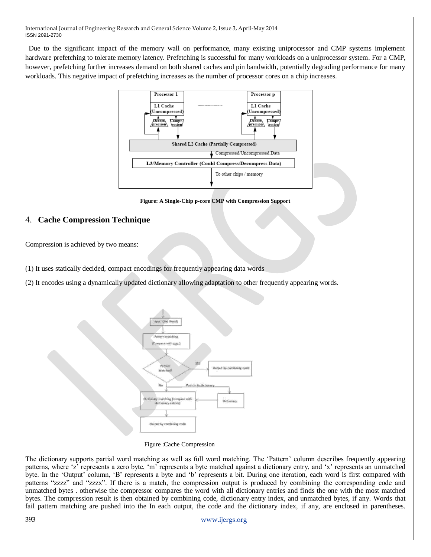Due to the significant impact of the memory wall on performance, many existing uniprocessor and CMP systems implement hardware prefetching to tolerate memory latency. Prefetching is successful for many workloads on a uniprocessor system. For a CMP, however, prefetching further increases demand on both shared caches and pin bandwidth, potentially degrading performance for many workloads. This negative impact of prefetching increases as the number of processor cores on a chip increases.



**Figure: A Single-Chip p-core CMP with Compression Support**

### 4. **Cache Compression Technique**

Compression is achieved by two means:

(1) It uses statically decided, compact encodings for frequently appearing data words

(2) It encodes using a dynamically updated dictionary allowing adaptation to other frequently appearing words.



Figure :Cache Compression

The dictionary supports partial word matching as well as full word matching. The 'Pattern' column describes frequently appearing patterns, where 'z' represents a zero byte, 'm' represents a byte matched against a dictionary entry, and 'x' represents an unmatched byte. In the 'Output' column, 'B' represents a byte and 'b' represents a bit. During one iteration, each word is first compared with patterns "zzzz" and "zzzx". If there is a match, the compression output is produced by combining the corresponding code and unmatched bytes . otherwise the compressor compares the word with all dictionary entries and finds the one with the most matched bytes. The compression result is then obtained by combining code, dictionary entry index, and unmatched bytes, if any. Words that fail pattern matching are pushed into the In each output, the code and the dictionary index, if any, are enclosed in parentheses.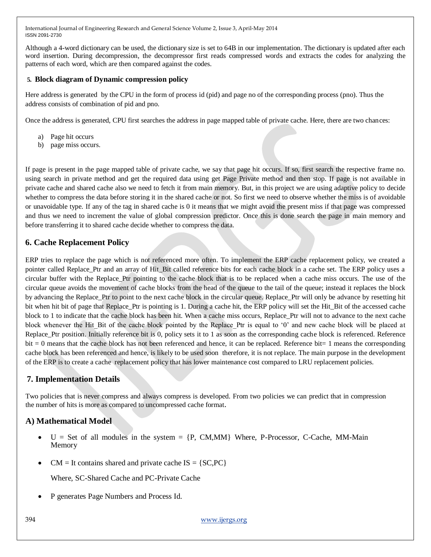Although a 4-word dictionary can be used, the dictionary size is set to 64B in our implementation. The dictionary is updated after each word insertion. During decompression, the decompressor first reads compressed words and extracts the codes for analyzing the patterns of each word, which are then compared against the codes.

#### **5. Block diagram of Dynamic compression policy**

Here address is generated by the CPU in the form of process id (pid) and page no of the corresponding process (pno). Thus the address consists of combination of pid and pno.

Once the address is generated, CPU first searches the address in page mapped table of private cache. Here, there are two chances:

- a) Page hit occurs
- b) page miss occurs.

If page is present in the page mapped table of private cache, we say that page hit occurs. If so, first search the respective frame no. using search in private method and get the required data using get Page Private method and then stop. If page is not available in private cache and shared cache also we need to fetch it from main memory. But, in this project we are using adaptive policy to decide whether to compress the data before storing it in the shared cache or not. So first we need to observe whether the miss is of avoidable or unavoidable type. If any of the tag in shared cache is 0 it means that we might avoid the present miss if that page was compressed and thus we need to increment the value of global compression predictor. Once this is done search the page in main memory and before transferring it to shared cache decide whether to compress the data.

### **6. Cache Replacement Policy**

ERP tries to replace the page which is not referenced more often. To implement the ERP cache replacement policy, we created a pointer called Replace\_Ptr and an array of Hit\_Bit called reference bits for each cache block in a cache set. The ERP policy uses a circular buffer with the Replace\_Ptr pointing to the cache block that is to be replaced when a cache miss occurs. The use of the circular queue avoids the movement of cache blocks from the head of the queue to the tail of the queue; instead it replaces the block by advancing the Replace\_Ptr to point to the next cache block in the circular queue. Replace\_Ptr will only be advance by resetting hit bit when hit bit of page that Replace Ptr is pointing is 1. During a cache hit, the ERP policy will set the Hit Bit of the accessed cache block to 1 to indicate that the cache block has been hit. When a cache miss occurs, Replace\_Ptr will not to advance to the next cache block whenever the Hit Bit of the cache block pointed by the Replace Ptr is equal to  $0'$  and new cache block will be placed at Replace Ptr position. Initially reference bit is 0, policy sets it to 1 as soon as the corresponding cache block is referenced. Reference bit = 0 means that the cache block has not been referenced and hence, it can be replaced. Reference bit= 1 means the corresponding cache block has been referenced and hence, is likely to be used soon therefore, it is not replace. The main purpose in the development of the ERP is to create a cache replacement policy that has lower maintenance cost compared to LRU replacement policies.

#### **7. Implementation Details**

Two policies that is never compress and always compress is developed. From two policies we can predict that in compression the number of hits is more as compared to uncompressed cache format.

# **A) Mathematical Model**

- $U =$  Set of all modules in the system  $= \{P, CM, MM\}$  Where, P-Processor, C-Cache, MM-Main Memory
- $CM = It$  contains shared and private cache  $IS = \{SC, PC\}$

Where, SC-Shared Cache and PC-Private Cache

P generates Page Numbers and Process Id.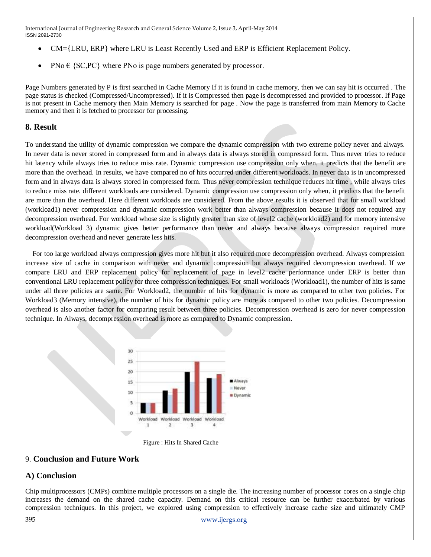- CM={LRU, ERP} where LRU is Least Recently Used and ERP is Efficient Replacement Policy.
- PNo  $\in$  {SC,PC} where PNo is page numbers generated by processor.

Page Numbers generated by P is first searched in Cache Memory If it is found in cache memory, then we can say hit is occurred . The page status is checked (Compressed/Uncompressed). If it is Compressed then page is decompressed and provided to processor. If Page is not present in Cache memory then Main Memory is searched for page . Now the page is transferred from main Memory to Cache memory and then it is fetched to processor for processing.

#### **8. Result**

To understand the utility of dynamic compression we compare the dynamic compression with two extreme policy never and always. In never data is never stored in compressed form and in always data is always stored in compressed form. Thus never tries to reduce hit latency while always tries to reduce miss rate. Dynamic compression use compression only when, it predicts that the benefit are more than the overhead. In results, we have compared no of hits occurred under different workloads. In never data is in uncompressed form and in always data is always stored in compressed form. Thus never compression technique reduces hit time , while always tries to reduce miss rate. different workloads are considered. Dynamic compression use compression only when, it predicts that the benefit are more than the overhead. Here different workloads are considered. From the above results it is observed that for small workload (workload1) never compression and dynamic compression work better than always compression because it does not required any decompression overhead. For workload whose size is slightly greater than size of level2 cache (workload2) and for memory intensive workload(Workload 3) dynamic gives better performance than never and always because always compression required more decompression overhead and never generate less hits.

For too large workload always compression gives more hit but it also required more decompression overhead. Always compression increase size of cache in comparison with never and dynamic compression but always required decompression overhead. If we compare LRU and ERP replacement policy for replacement of page in level2 cache performance under ERP is better than conventional LRU replacement policy for three compression techniques. For small workloads (Workload1), the number of hits is same under all three policies are same. For Workload2, the number of hits for dynamic is more as compared to other two policies. For Workload3 (Memory intensive), the number of hits for dynamic policy are more as compared to other two policies. Decompression overhead is also another factor for comparing result between three policies. Decompression overhead is zero for never compression technique. In Always, decompression overhead is more as compared to Dynamic compression.



Figure : Hits In Shared Cache

#### 9. **Conclusion and Future Work**

#### **A) Conclusion**

Chip multiprocessors (CMPs) combine multiple processors on a single die. The increasing number of processor cores on a single chip increases the demand on the shared cache capacity. Demand on this critical resource can be further exacerbated by various compression techniques. In this project, we explored using compression to effectively increase cache size and ultimately CMP